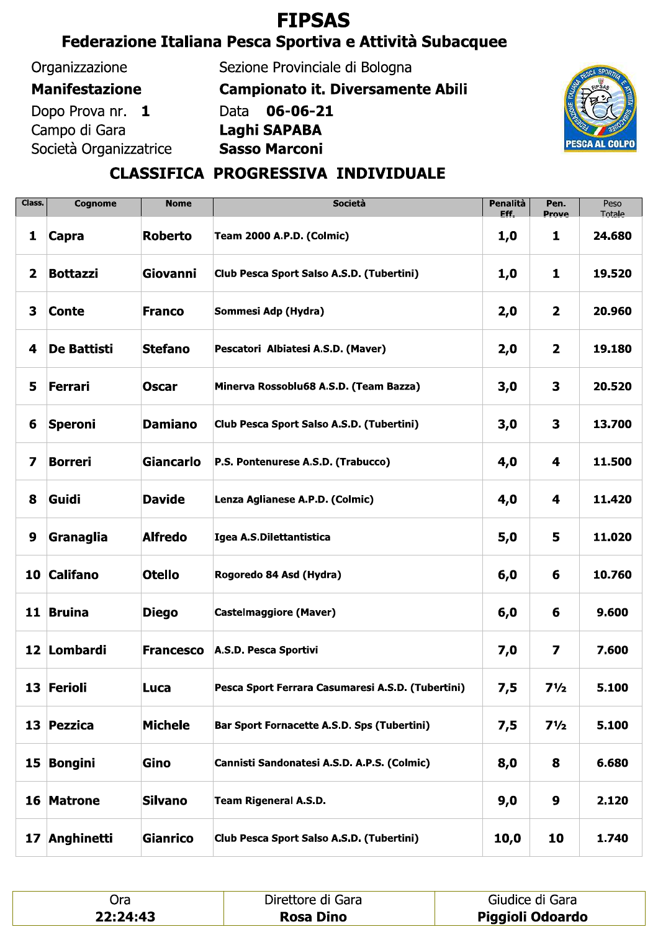# **FIPSAS**

## Federazione Italiana Pesca Sportiva e Attività Subacquee

#### Organizzazione

#### **Manifestazione**

Dopo Prova nr. 1 Campo di Gara Società Organizzatrice Sezione Provinciale di Bologna

**Campionato it. Diversamente Abili** 

Data 06-06-21 Laghi SAPABA





### CLASSIFICA PROGRESSIVA INDIVIDUALE

| Class.                  | Cognome            | <b>Nome</b>      | Società                                           |      | Pen.<br>Prove           | Peso<br>Totale |
|-------------------------|--------------------|------------------|---------------------------------------------------|------|-------------------------|----------------|
| 1                       | Capra              | <b>Roberto</b>   | <b>Team 2000 A.P.D. (Colmic)</b>                  | 1,0  | 1                       | 24.680         |
| $\overline{\mathbf{2}}$ | <b>Bottazzi</b>    | Giovanni         | Club Pesca Sport Salso A.S.D. (Tubertini)         | 1,0  | $\mathbf{1}$            | 19.520         |
| 3                       | <b>Conte</b>       | <b>Franco</b>    | Sommesi Adp (Hydra)                               | 2,0  | $\overline{\mathbf{2}}$ | 20.960         |
| 4                       | <b>De Battisti</b> | <b>Stefano</b>   | Pescatori Albiatesi A.S.D. (Maver)                | 2,0  | $\overline{\mathbf{2}}$ | 19.180         |
| 5                       | Ferrari            | <b>Oscar</b>     | Minerva Rossoblu68 A.S.D. (Team Bazza)            | 3,0  | $\mathbf{3}$            | 20.520         |
| 6                       | <b>Speroni</b>     | <b>Damiano</b>   | Club Pesca Sport Salso A.S.D. (Tubertini)         | 3,0  | 3                       | 13.700         |
| 7                       | <b>Borreri</b>     | <b>Giancarlo</b> | P.S. Pontenurese A.S.D. (Trabucco)                | 4,0  | 4                       | 11.500         |
| 8                       | Guidi              | <b>Davide</b>    | Lenza Aglianese A.P.D. (Colmic)                   | 4,0  | 4                       | 11.420         |
| 9                       | Granaglia          | <b>Alfredo</b>   | Igea A.S.Dilettantistica                          | 5,0  | 5                       | 11.020         |
|                         | 10 Califano        | <b>Otello</b>    | Rogoredo 84 Asd (Hydra)                           | 6,0  | 6                       | 10.760         |
|                         | 11 Bruina          | <b>Diego</b>     | <b>Castelmaggiore (Maver)</b>                     | 6,0  | 6                       | 9.600          |
|                         | 12 Lombardi        | <b>Francesco</b> | A.S.D. Pesca Sportivi                             | 7,0  | $\overline{\mathbf{z}}$ | 7.600          |
|                         | 13 Ferioli         | Luca             | Pesca Sport Ferrara Casumaresi A.S.D. (Tubertini) | 7,5  | $7\frac{1}{2}$          | 5.100          |
|                         | 13 Pezzica         | <b>Michele</b>   | Bar Sport Fornacette A.S.D. Sps (Tubertini)       | 7,5  | $7\frac{1}{2}$          | 5.100          |
| 15                      | Bongini            | Gino             | Cannisti Sandonatesi A.S.D. A.P.S. (Colmic)       | 8,0  | 8                       | 6.680          |
|                         | 16 Matrone         | <b>Silvano</b>   | <b>Team Rigeneral A.S.D.</b>                      | 9,0  | 9                       | 2.120          |
| 17 <sub>2</sub>         | Anghinetti         | <b>Gianrico</b>  | Club Pesca Sport Salso A.S.D. (Tubertini)         | 10,0 | 10                      | 1.740          |

| )ra      | Direttore di Gara | Giudice di Gara  |
|----------|-------------------|------------------|
| 22:24:43 | <b>Rosa Dino</b>  | Piggioli Odoardo |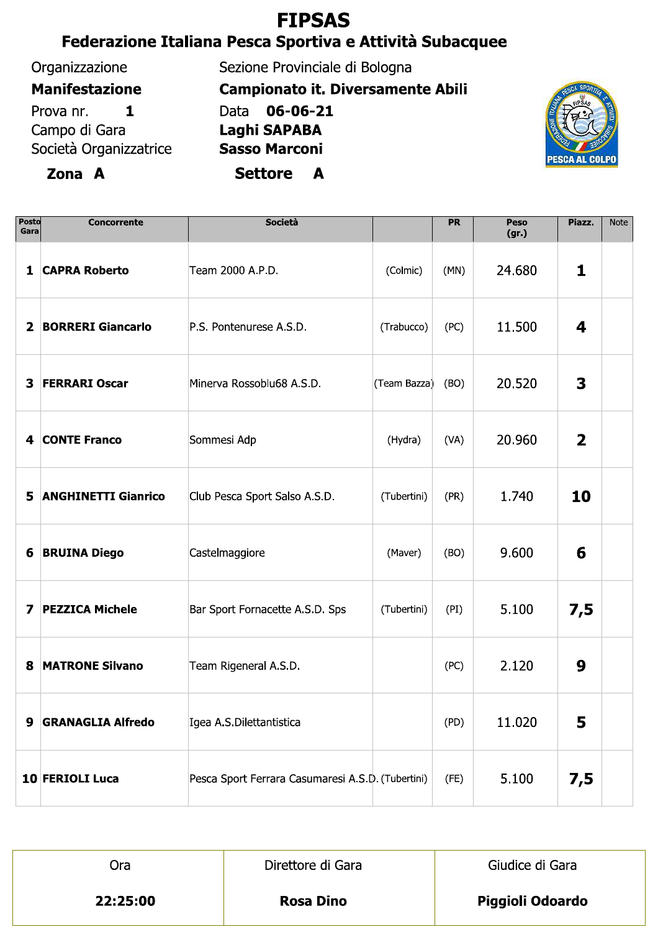# **FIPSAS**

# Federazione Italiana Pesca Sportiva e Attività Subacquee

### Organizzazione

Zona A

### **Manifestazione**

Prova nr.  $\mathbf{1}$ Campo di Gara Società Organizzatrice Sezione Provinciale di Bologna **Campionato it. Diversamente Abili** Data 06-06-21 Laghi SAPABA **Sasso Marconi** Settore A



| <b>Posto</b><br>Gara | <b>Concorrente</b>         | Società                                           |              | <b>PR</b> | Peso<br>(gr.) | Piazz.                  | <b>Note</b> |
|----------------------|----------------------------|---------------------------------------------------|--------------|-----------|---------------|-------------------------|-------------|
| 1                    | <b>CAPRA Roberto</b>       | Team 2000 A.P.D.                                  | (Colmic)     | (MN)      | 24.680        | 1                       |             |
| $\mathbf{2}$         | <b>BORRERI Giancarlo</b>   | P.S. Pontenurese A.S.D.                           | (Trabucco)   | (PC)      | 11.500        | 4                       |             |
| 3                    | <b>FERRARI Oscar</b>       | Minerva Rossoblu68 A.S.D.                         | (Team Bazza) | (BO)      | 20.520        | 3                       |             |
| 4                    | <b>CONTE Franco</b>        | Sommesi Adp                                       | (Hydra)      | (VA)      | 20.960        | $\overline{\mathbf{2}}$ |             |
| 5                    | <b>ANGHINETTI Gianrico</b> | Club Pesca Sport Salso A.S.D.                     | (Tubertini)  | (PR)      | 1.740         | 10                      |             |
| 6                    | <b>BRUINA Diego</b>        | Castelmaggiore                                    | (Maver)      | (BO)      | 9.600         | 6                       |             |
| 7                    | <b>PEZZICA Michele</b>     | Bar Sport Fornacette A.S.D. Sps                   | (Tubertini)  | (PI)      | 5.100         | 7,5                     |             |
| 8                    | <b>MATRONE Silvano</b>     | Team Rigeneral A.S.D.                             |              | (PC)      | 2.120         | 9                       |             |
| 9                    | <b>GRANAGLIA Alfredo</b>   | Igea A.S.Dilettantistica                          |              | (PD)      | 11.020        | 5                       |             |
|                      | 10 FERIOLI Luca            | Pesca Sport Ferrara Casumaresi A.S.D. (Tubertini) |              | (FE)      | 5.100         | 7,5                     |             |

| .ca      | Direttore di Gara | Giudice di Gara         |  |  |  |
|----------|-------------------|-------------------------|--|--|--|
| 22:25:00 | <b>Rosa Dino</b>  | <b>Piggioli Odoardo</b> |  |  |  |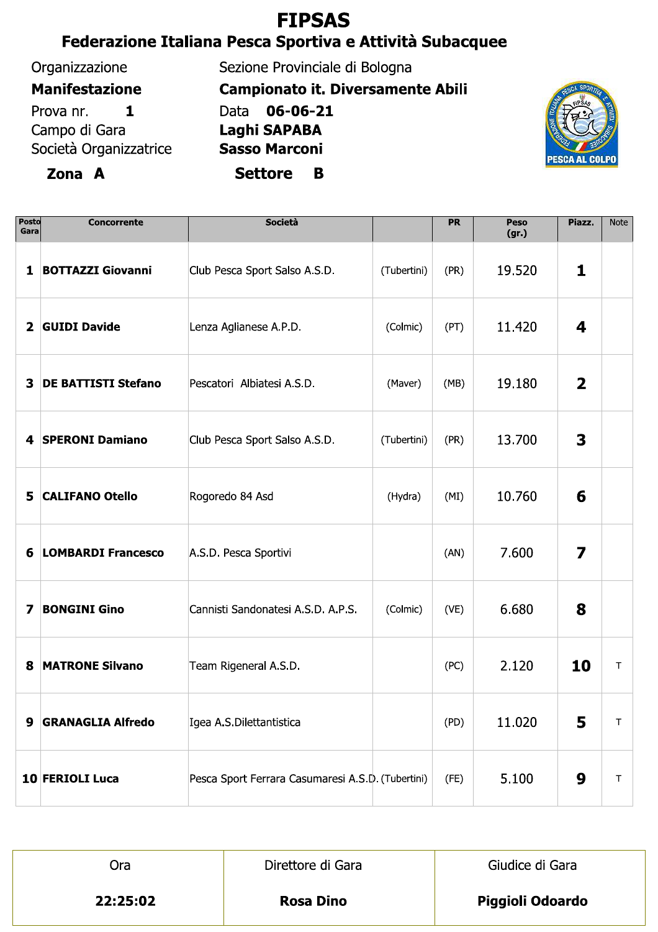# **FIPSAS**

## Federazione Italiana Pesca Sportiva e Attività Subacquee

#### Organizzazione

#### **Manifestazione**

Prova nr.  $\mathbf{1}$ Campo di Gara Società Organizzatrice

### Zona A

Sezione Provinciale di Bologna

**Campionato it. Diversamente Abili** 

Data 06-06-21 Laghi SAPABA

**Sasso Marconi** 

**Settore** B



| Posto<br>Gara           | <b>Concorrente</b>         | Società                                           |             | <b>PR</b> | Peso<br>(gr.) | Piazz.         | <b>Note</b> |
|-------------------------|----------------------------|---------------------------------------------------|-------------|-----------|---------------|----------------|-------------|
| $\mathbf{1}$            | <b>BOTTAZZI Giovanni</b>   | Club Pesca Sport Salso A.S.D.                     | (Tubertini) | (PR)      | 19.520        | 1              |             |
| $\overline{\mathbf{2}}$ | <b>GUIDI Davide</b>        | Lenza Aglianese A.P.D.                            | (Colmic)    | (PT)      | 11.420        | 4              |             |
| 3                       | <b>DE BATTISTI Stefano</b> | Pescatori Albiatesi A.S.D.                        | (Maver)     | (MB)      | 19.180        | $\overline{2}$ |             |
| 4                       | <b>SPERONI Damiano</b>     | Club Pesca Sport Salso A.S.D.                     | (Tubertini) | (PR)      | 13.700        | 3              |             |
| 5                       | <b>CALIFANO Otello</b>     | Rogoredo 84 Asd                                   | (Hydra)     | (MI)      | 10.760        | 6              |             |
| 6                       | <b>LOMBARDI Francesco</b>  | A.S.D. Pesca Sportivi                             |             | (AN)      | 7.600         | 7              |             |
| 7                       | <b>BONGINI Gino</b>        | Cannisti Sandonatesi A.S.D. A.P.S.                | (Colmic)    | (VE)      | 6.680         | 8              |             |
| 8                       | <b>MATRONE Silvano</b>     | Team Rigeneral A.S.D.                             |             | (PC)      | 2.120         | 10             | T           |
| 9                       | <b>GRANAGLIA Alfredo</b>   | Igea A.S.Dilettantistica                          |             | (PD)      | 11.020        | 5              | Τ           |
|                         | 10 FERIOLI Luca            | Pesca Sport Ferrara Casumaresi A.S.D. (Tubertini) |             | (FE)      | 5.100         | 9              | Τ           |

| )ra      | Direttore di Gara | Giudice di Gara         |  |  |  |
|----------|-------------------|-------------------------|--|--|--|
| 22:25:02 | <b>Rosa Dino</b>  | <b>Piggioli Odoardo</b> |  |  |  |